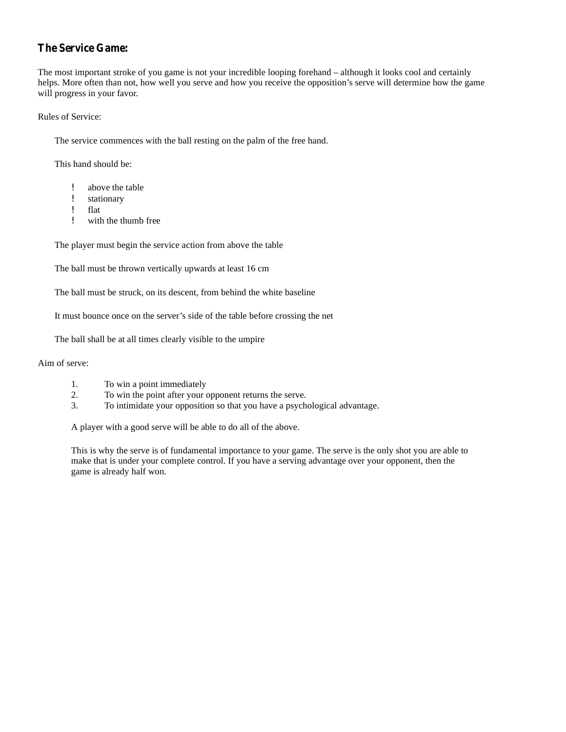# **The Service Game:**

The most important stroke of you game is not your incredible looping forehand – although it looks cool and certainly helps. More often than not, how well you serve and how you receive the opposition's serve will determine how the game will progress in your favor.

Rules of Service:

The service commences with the ball resting on the palm of the free hand.

This hand should be:

- above the table
- stationary
- } flat
- with the thumb free

The player must begin the service action from above the table

The ball must be thrown vertically upwards at least 16 cm

The ball must be struck, on its descent, from behind the white baseline

It must bounce once on the server's side of the table before crossing the net

The ball shall be at all times clearly visible to the umpire

### Aim of serve:

- 1. To win a point immediately
- 2. To win the point after your opponent returns the serve.
- 3. To intimidate your opposition so that you have a psychological advantage.

A player with a good serve will be able to do all of the above.

This is why the serve is of fundamental importance to your game. The serve is the only shot you are able to make that is under your complete control. If you have a serving advantage over your opponent, then the game is already half won.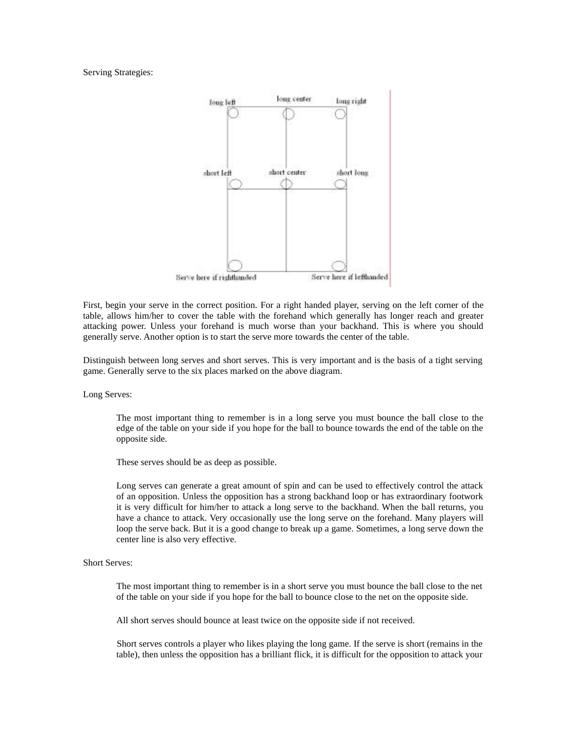Serving Strategies:



First, begin your serve in the correct position. For a right handed player, serving on the left corner of the table, allows him/her to cover the table with the forehand which generally has longer reach and greater attacking power. Unless your forehand is much worse than your backhand. This is where you should generally serve. Another option is to start the serve more towards the center of the table.

Distinguish between long serves and short serves. This is very important and is the basis of a tight serving game. Generally serve to the six places marked on the above diagram.

Long Serves:

The most important thing to remember is in a long serve you must bounce the ball close to the edge of the table on your side if you hope for the ball to bounce towards the end of the table on the opposite side.

These serves should be as deep as possible.

Long serves can generate a great amount of spin and can be used to effectively control the attack of an opposition. Unless the opposition has a strong backhand loop or has extraordinary footwork it is very difficult for him/her to attack a long serve to the backhand. When the ball returns, you have a chance to attack. Very occasionally use the long serve on the forehand. Many players will loop the serve back. But it is a good change to break up a game. Sometimes, a long serve down the center line is also very effective.

Short Serves:

The most important thing to remember is in a short serve you must bounce the ball close to the net of the table on your side if you hope for the ball to bounce close to the net on the opposite side.

All short serves should bounce at least twice on the opposite side if not received.

Short serves controls a player who likes playing the long game. If the serve is short (remains in the table), then unless the opposition has a brilliant flick, it is difficult for the opposition to attack your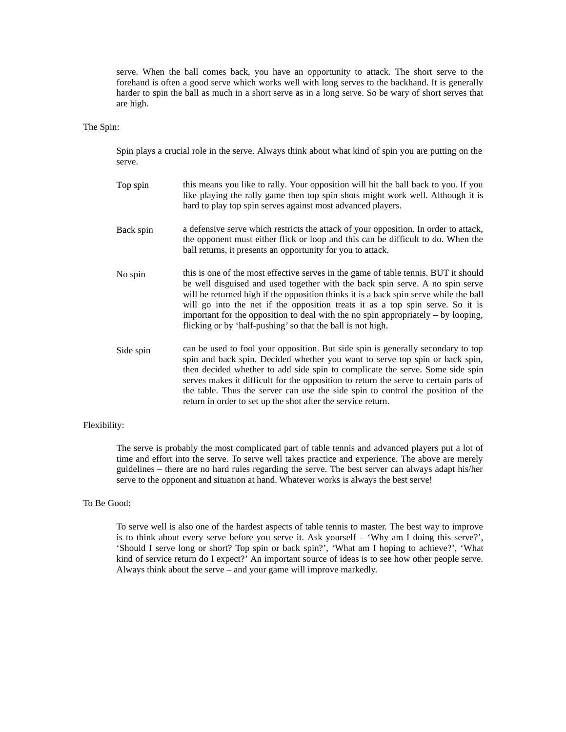serve. When the ball comes back, you have an opportunity to attack. The short serve to the forehand is often a good serve which works well with long serves to the backhand. It is generally harder to spin the ball as much in a short serve as in a long serve. So be wary of short serves that are high.

### The Spin:

Spin plays a crucial role in the serve. Always think about what kind of spin you are putting on the serve.

Top spin Back spin No spin Side spin this means you like to rally. Your opposition will hit the ball back to you. If you like playing the rally game then top spin shots might work well. Although it is hard to play top spin serves against most advanced players. a defensive serve which restricts the attack of your opposition. In order to attack, the opponent must either flick or loop and this can be difficult to do. When the ball returns, it presents an opportunity for you to attack. this is one of the most effective serves in the game of table tennis. BUT it should be well disguised and used together with the back spin serve. A no spin serve will be returned high if the opposition thinks it is a back spin serve while the ball will go into the net if the opposition treats it as a top spin serve. So it is important for the opposition to deal with the no spin appropriately – by looping, flicking or by 'half-pushing'so that the ball is not high. can be used to fool your opposition. But side spin is generally secondary to top spin and back spin. Decided whether you want to serve top spin orback spin, then decided whether to add side spin to complicate the serve. Some side spin serves makes it difficult for the opposition to return the serve to certain parts of

#### Flexibility:

The serve is probably the most complicated part of table tennis and advanced players put a lot of time and effort into the serve. To serve well takes practice and experience. The above are merely guidelines – there are no hard rules regarding the serve. The best server can always adapt his/her serve to the opponent and situation at hand. Whatever works is always the best serve!

return in order to set up the shot after the service return.

the table. Thus the server can use the side spin to control the position of the

### To Be Good:

To serve well is also one of the hardest aspects of table tennis to master. The best way to improve is to think about every serve before you serve it. Ask yourself – 'Why am I doing this serve?', 'Should I serve long orshort? Top spin orback spin?', 'What am I hoping to achieve?', 'What kind of service return do I expect?' An important source of ideas is to see how other people serve. Always think about the serve – and your game will improve markedly.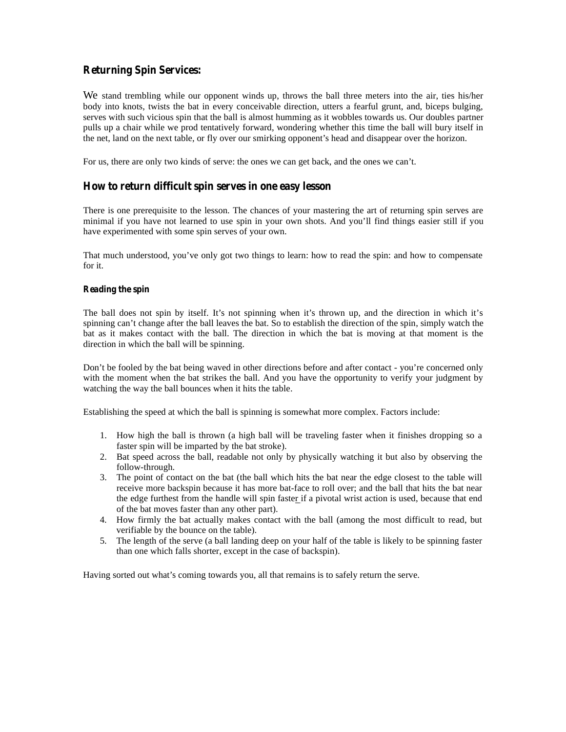# **Returning Spin Services:**

We stand trembling while our opponent winds up, throws the ball three meters into the air, ties his/her body into knots, twists the bat in every conceivable direction, utters a fearful grunt, and, biceps bulging, serves with such vicious spin that the ball is almost humming as itwobbles towards us. Our doubles partner pulls up a chair while we prod tentatively forward, wondering whether this time the ball will bury itself in the net, land on the next table, or fly over our smirking opponent's head and disappear over the horizon.

For us, there are only two kinds of serve: the ones we can get back, and the ones we can't.

## **How to return difficult spin serves in one easy lesson**

There is one prerequisite to the lesson. The chances of your mastering the art of returning spin serves are minimal if you have not learned to use spin in your own shots. And you'll find things easier still if you have experimented with some spin serves of your own.

That much understood, you've only got two things to learn: how to read the spin: and how to compensate for it.

### **Reading the spin**

The ball does not spin by itself. It's not spinning when it's thrown up, and the direction in which it's spinning can't change after the ball leaves the bat. So to establish the direction of the spin, simply watch the bat as it makes contact with the ball. The direction in which the bat is moving at that moment is the direction in which the ball will be spinning.

Don't be fooled by the bat being waved in other directions before and after contact - you're concerned only with the moment when the bat strikes the ball. And you have the opportunity to verify your judgment by watching the way the ball bounces when it hits the table.

Establishing the speed at which the ball is spinning is somewhat more complex. Factors include:

- 1. How high the ball is thrown (a high ball will be traveling faster when it finishes dropping so a faster spin will be imparted by the bat stroke).
- 2. Bat speed across the ball, readable not only by physically watching it but also by observing the follow-through.
- 3. The point of contact on the bat (the ball which hits the bat near the edge closest to the table will receive more backspin because it has more bat-face to roll over; and the ball that hits the bat near the edge furthest from the handle will spin faster if a pivotal wrist action is used, because that end of the bat moves faster than any other part).
- 4. How firmly the bat actually makes contact with the ball (among the most difficult to read, but verifiable by the bounce on the table).
- 5. The length of the serve (a ball landing deep on your half of the table is likely to be spinning faster than one which falls shorter, except in the case of backspin).

Having sorted out what's coming towards you, all that remains is to safely return the serve.